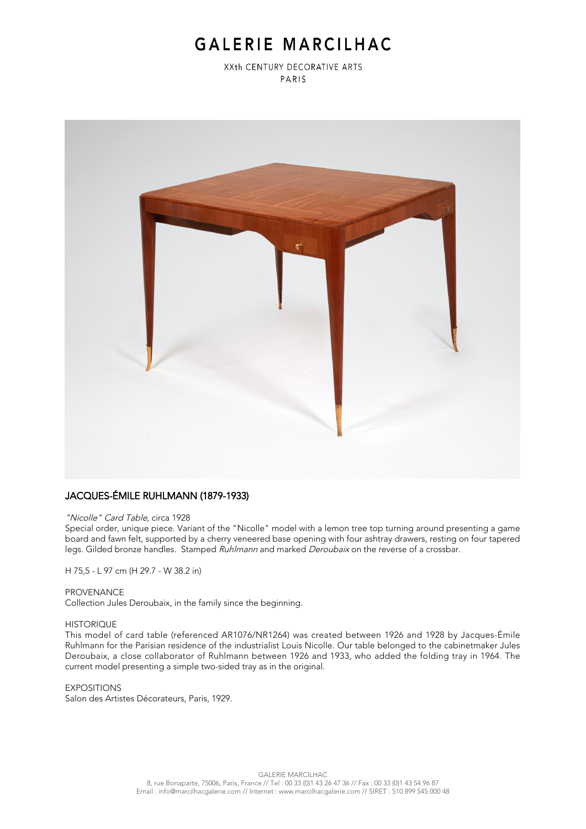# GALERIE MARCILHAC

XXth CENTURY DECORATIVE ARTS PARIS



## JACQUES-ÉMILE RUHLMANN (1879-1933)

#### "Nicolle" Card Table, circa 1928

Special order, unique piece. Variant of the "Nicolle" model with a lemon tree top turning around presenting a game board and fawn felt, supported by a cherry veneered base opening with four ashtray drawers, resting on four tapered legs. Gilded bronze handles. Stamped Ruhlmann and marked Deroubaix on the reverse of a crossbar.

H 75,5 - L 97 cm (H 29.7 - W 38.2 in)

#### PROVENANCE

Collection Jules Deroubaix, in the family since the beginning.

#### **HISTORIOUF**

This model of card table (referenced AR1076/NR1264) was created between 1926 and 1928 by Jacques-Émile Ruhlmann for the Parisian residence of the industrialist Louis Nicolle. Our table belonged to the cabinetmaker Jules Deroubaix, a close collaborator of Ruhlmann between 1926 and 1933, who added the folding tray in 1964. The current model presenting a simple two-sided tray as in the original.

### EXPOSITIONS

Salon des Artistes Décorateurs, Paris, 1929.